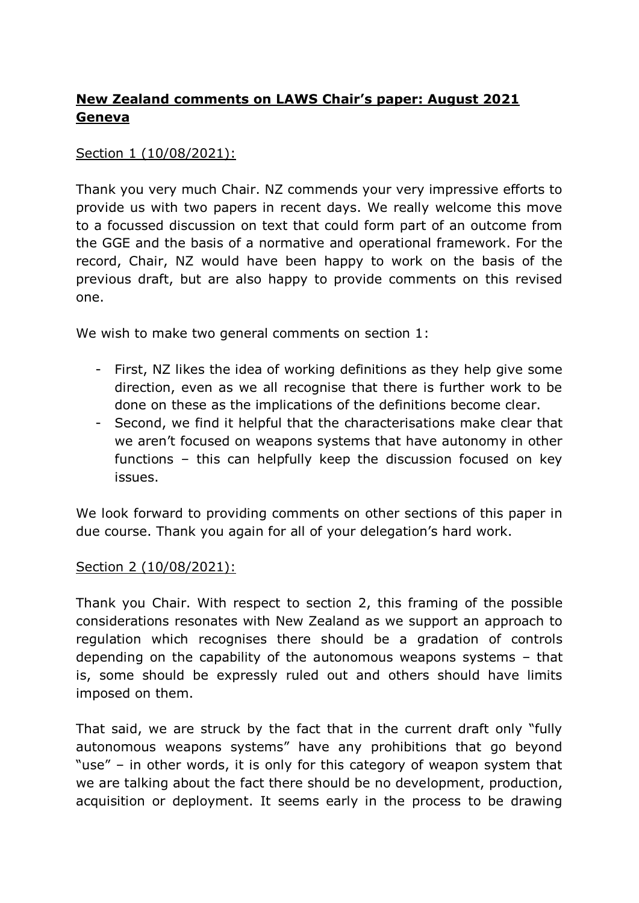# **New Zealand comments on LAWS Chair's paper: August 2021 Geneva**

## Section 1 (10/08/2021):

Thank you very much Chair. NZ commends your very impressive efforts to provide us with two papers in recent days. We really welcome this move to a focussed discussion on text that could form part of an outcome from the GGE and the basis of a normative and operational framework. For the record, Chair, NZ would have been happy to work on the basis of the previous draft, but are also happy to provide comments on this revised one.

We wish to make two general comments on section 1:

- First, NZ likes the idea of working definitions as they help give some direction, even as we all recognise that there is further work to be done on these as the implications of the definitions become clear.
- Second, we find it helpful that the characterisations make clear that we aren't focused on weapons systems that have autonomy in other functions – this can helpfully keep the discussion focused on key issues.

We look forward to providing comments on other sections of this paper in due course. Thank you again for all of your delegation's hard work.

### Section 2 (10/08/2021):

Thank you Chair. With respect to section 2, this framing of the possible considerations resonates with New Zealand as we support an approach to regulation which recognises there should be a gradation of controls depending on the capability of the autonomous weapons systems – that is, some should be expressly ruled out and others should have limits imposed on them.

That said, we are struck by the fact that in the current draft only "fully autonomous weapons systems" have any prohibitions that go beyond "use" – in other words, it is only for this category of weapon system that we are talking about the fact there should be no development, production, acquisition or deployment. It seems early in the process to be drawing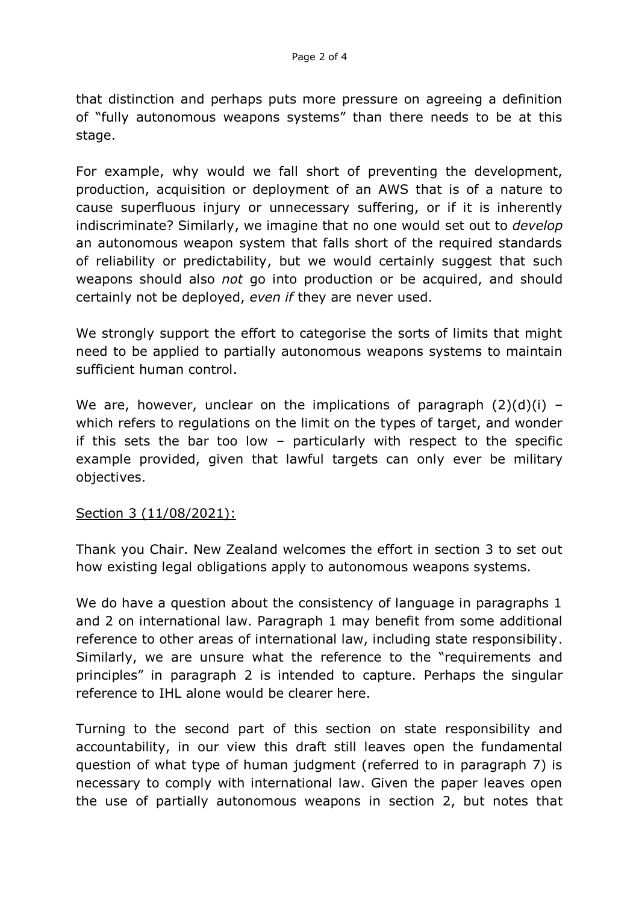that distinction and perhaps puts more pressure on agreeing a definition of "fully autonomous weapons systems" than there needs to be at this stage.

For example, why would we fall short of preventing the development, production, acquisition or deployment of an AWS that is of a nature to cause superfluous injury or unnecessary suffering, or if it is inherently indiscriminate? Similarly, we imagine that no one would set out to *develop* an autonomous weapon system that falls short of the required standards of reliability or predictability, but we would certainly suggest that such weapons should also *not* go into production or be acquired, and should certainly not be deployed, *even if* they are never used.

We strongly support the effort to categorise the sorts of limits that might need to be applied to partially autonomous weapons systems to maintain sufficient human control.

We are, however, unclear on the implications of paragraph  $(2)(d)(i)$  – which refers to regulations on the limit on the types of target, and wonder if this sets the bar too low – particularly with respect to the specific example provided, given that lawful targets can only ever be military objectives.

### Section 3 (11/08/2021):

Thank you Chair. New Zealand welcomes the effort in section 3 to set out how existing legal obligations apply to autonomous weapons systems.

We do have a question about the consistency of language in paragraphs 1 and 2 on international law. Paragraph 1 may benefit from some additional reference to other areas of international law, including state responsibility. Similarly, we are unsure what the reference to the "requirements and principles" in paragraph 2 is intended to capture. Perhaps the singular reference to IHL alone would be clearer here.

Turning to the second part of this section on state responsibility and accountability, in our view this draft still leaves open the fundamental question of what type of human judgment (referred to in paragraph 7) is necessary to comply with international law. Given the paper leaves open the use of partially autonomous weapons in section 2, but notes that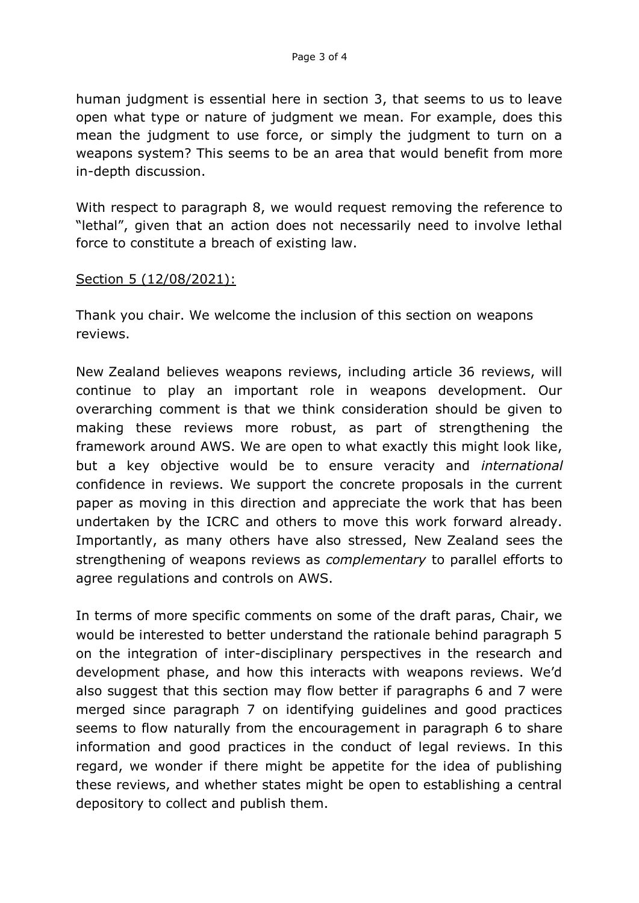human judgment is essential here in section 3, that seems to us to leave open what type or nature of judgment we mean. For example, does this mean the judgment to use force, or simply the judgment to turn on a weapons system? This seems to be an area that would benefit from more in-depth discussion.

With respect to paragraph 8, we would request removing the reference to "lethal", given that an action does not necessarily need to involve lethal force to constitute a breach of existing law.

#### Section 5 (12/08/2021):

Thank you chair. We welcome the inclusion of this section on weapons reviews.

New Zealand believes weapons reviews, including article 36 reviews, will continue to play an important role in weapons development. Our overarching comment is that we think consideration should be given to making these reviews more robust, as part of strengthening the framework around AWS. We are open to what exactly this might look like, but a key objective would be to ensure veracity and *international* confidence in reviews. We support the concrete proposals in the current paper as moving in this direction and appreciate the work that has been undertaken by the ICRC and others to move this work forward already. Importantly, as many others have also stressed, New Zealand sees the strengthening of weapons reviews as *complementary* to parallel efforts to agree regulations and controls on AWS.

In terms of more specific comments on some of the draft paras, Chair, we would be interested to better understand the rationale behind paragraph 5 on the integration of inter-disciplinary perspectives in the research and development phase, and how this interacts with weapons reviews. We'd also suggest that this section may flow better if paragraphs 6 and 7 were merged since paragraph 7 on identifying guidelines and good practices seems to flow naturally from the encouragement in paragraph 6 to share information and good practices in the conduct of legal reviews. In this regard, we wonder if there might be appetite for the idea of publishing these reviews, and whether states might be open to establishing a central depository to collect and publish them.